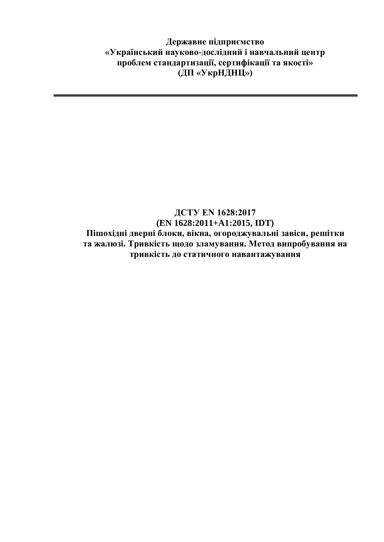**Державне підприємство «Український науково-дослідний і навчальний центр проблем стандартизації, сертифікації та якості» (ДП «УкрНДНЦ»)**

## **ДСТУ EN 1628:2017 (EN 1628:2011+A1:2015, IDT) Пішохідні дверні блоки, вікна, огороджувальні завіси, решітки та жалюзі. Тривкість щодо зламування. Метод випробування на тривкість до статичного навантажування**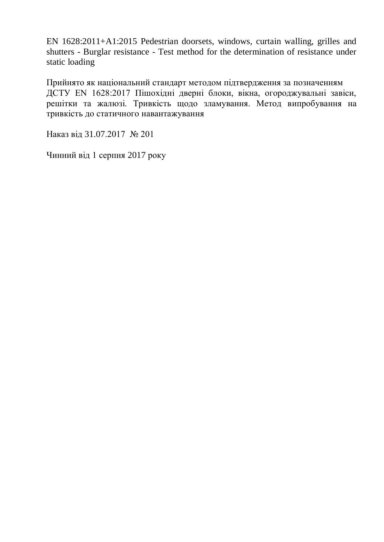EN 1628:2011+A1:2015 Pedestrian doorsets, windows, curtain walling, grilles and shutters - Burglar resistance - Test method for the determination of resistance under static loading

Прийнято як національний стандарт методом підтвердження за позначенням ДСТУ EN 1628:2017 Пішохідні дверні блоки, вікна, огороджувальні завіси, решітки та жалюзі. Тривкість щодо зламування. Метод випробування на тривкість до статичного навантажування

Наказ від 31.07.2017 № 201

Чинний від 1 серпня 2017 року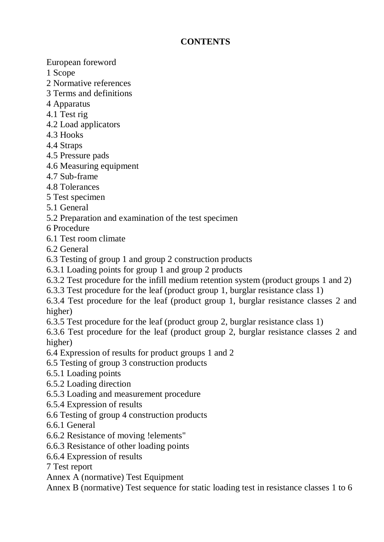## **CONTENTS**

European foreword

- 1 Scope
- 2 Normative references
- 3 Terms and definitions
- 4 Apparatus
- 4.1 Test rig
- 4.2 Load applicators
- 4.3 Hooks
- 4.4 Straps
- 4.5 Pressure pads
- 4.6 Measuring equipment
- 4.7 Sub-frame
- 4.8 Tolerances
- 5 Test specimen
- 5.1 General
- 5.2 Preparation and examination of the test specimen
- 6 Procedure
- 6.1 Test room climate
- 6.2 General
- 6.3 Testing of group 1 and group 2 construction products
- 6.3.1 Loading points for group 1 and group 2 products
- 6.3.2 Test procedure for the infill medium retention system (product groups 1 and 2)
- 6.3.3 Test procedure for the leaf (product group 1, burglar resistance class 1)
- 6.3.4 Test procedure for the leaf (product group 1, burglar resistance classes 2 and higher)
- 6.3.5 Test procedure for the leaf (product group 2, burglar resistance class 1)

6.3.6 Test procedure for the leaf (product group 2, burglar resistance classes 2 and higher)

- 6.4 Expression of results for product groups 1 and 2
- 6.5 Testing of group 3 construction products
- 6.5.1 Loading points
- 6.5.2 Loading direction
- 6.5.3 Loading and measurement procedure
- 6.5.4 Expression of results
- 6.6 Testing of group 4 construction products
- 6.6.1 General
- 6.6.2 Resistance of moving !elements"
- 6.6.3 Resistance of other loading points
- 6.6.4 Expression of results
- 7 Test report
- Annex A (normative) Test Equipment

Annex B (normative) Test sequence for static loading test in resistance classes 1 to 6